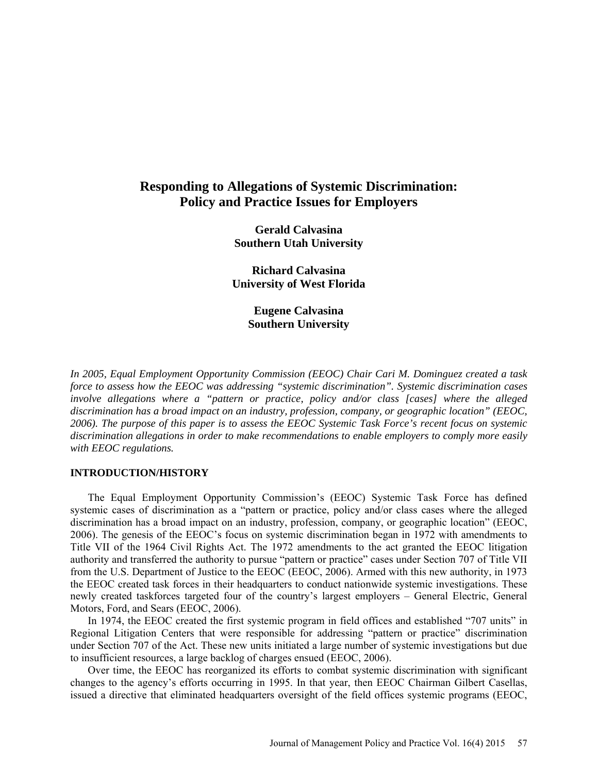# **Responding to Allegations of Systemic Discrimination: Policy and Practice Issues for Employers**

**Gerald Calvasina Southern Utah University**

**Richard Calvasina University of West Florida**

> **Eugene Calvasina Southern University**

*In 2005, Equal Employment Opportunity Commission (EEOC) Chair Cari M. Dominguez created a task force to assess how the EEOC was addressing "systemic discrimination". Systemic discrimination cases involve allegations where a "pattern or practice, policy and/or class [cases] where the alleged discrimination has a broad impact on an industry, profession, company, or geographic location" (EEOC, 2006). The purpose of this paper is to assess the EEOC Systemic Task Force's recent focus on systemic discrimination allegations in order to make recommendations to enable employers to comply more easily with EEOC regulations.*

### **INTRODUCTION/HISTORY**

The Equal Employment Opportunity Commission's (EEOC) Systemic Task Force has defined systemic cases of discrimination as a "pattern or practice, policy and/or class cases where the alleged discrimination has a broad impact on an industry, profession, company, or geographic location" (EEOC, 2006). The genesis of the EEOC's focus on systemic discrimination began in 1972 with amendments to Title VII of the 1964 Civil Rights Act. The 1972 amendments to the act granted the EEOC litigation authority and transferred the authority to pursue "pattern or practice" cases under Section 707 of Title VII from the U.S. Department of Justice to the EEOC (EEOC, 2006). Armed with this new authority, in 1973 the EEOC created task forces in their headquarters to conduct nationwide systemic investigations. These newly created taskforces targeted four of the country's largest employers – General Electric, General Motors, Ford, and Sears (EEOC, 2006).

In 1974, the EEOC created the first systemic program in field offices and established "707 units" in Regional Litigation Centers that were responsible for addressing "pattern or practice" discrimination under Section 707 of the Act. These new units initiated a large number of systemic investigations but due to insufficient resources, a large backlog of charges ensued (EEOC, 2006).

Over time, the EEOC has reorganized its efforts to combat systemic discrimination with significant changes to the agency's efforts occurring in 1995. In that year, then EEOC Chairman Gilbert Casellas, issued a directive that eliminated headquarters oversight of the field offices systemic programs (EEOC,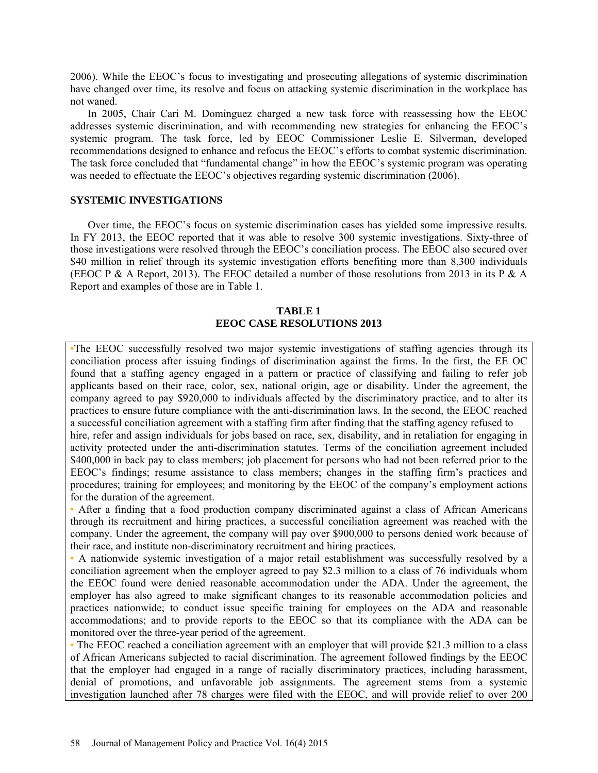2006). While the EEOC's focus to investigating and prosecuting allegations of systemic discrimination have changed over time, its resolve and focus on attacking systemic discrimination in the workplace has not waned.

In 2005, Chair Cari M. Dominguez charged a new task force with reassessing how the EEOC addresses systemic discrimination, and with recommending new strategies for enhancing the EEOC's systemic program. The task force, led by EEOC Commissioner Leslie E. Silverman, developed recommendations designed to enhance and refocus the EEOC's efforts to combat systemic discrimination. The task force concluded that "fundamental change" in how the EEOC's systemic program was operating was needed to effectuate the EEOC's objectives regarding systemic discrimination (2006).

### **SYSTEMIC INVESTIGATIONS**

Over time, the EEOC's focus on systemic discrimination cases has yielded some impressive results. In FY 2013, the EEOC reported that it was able to resolve 300 systemic investigations. Sixty-three of those investigations were resolved through the EEOC's conciliation process. The EEOC also secured over \$40 million in relief through its systemic investigation efforts benefiting more than 8,300 individuals (EEOC P & A Report, 2013). The EEOC detailed a number of those resolutions from 2013 in its P & A Report and examples of those are in Table 1.

# **TABLE 1 EEOC CASE RESOLUTIONS 2013**

•The EEOC successfully resolved two major systemic investigations of staffing agencies through its conciliation process after issuing findings of discrimination against the firms. In the first, the EE OC found that a staffing agency engaged in a pattern or practice of classifying and failing to refer job applicants based on their race, color, sex, national origin, age or disability. Under the agreement, the company agreed to pay \$920,000 to individuals affected by the discriminatory practice, and to alter its practices to ensure future compliance with the anti-discrimination laws. In the second, the EEOC reached a successful conciliation agreement with a staffing firm after finding that the staffing agency refused to hire, refer and assign individuals for jobs based on race, sex, disability, and in retaliation for engaging in activity protected under the anti-discrimination statutes. Terms of the conciliation agreement included \$400,000 in back pay to class members; job placement for persons who had not been referred prior to the EEOC's findings; resume assistance to class members; changes in the staffing firm's practices and procedures; training for employees; and monitoring by the EEOC of the company's employment actions for the duration of the agreement.

• After a finding that a food production company discriminated against a class of African Americans through its recruitment and hiring practices, a successful conciliation agreement was reached with the company. Under the agreement, the company will pay over \$900,000 to persons denied work because of their race, and institute non-discriminatory recruitment and hiring practices.

• A nationwide systemic investigation of a major retail establishment was successfully resolved by a conciliation agreement when the employer agreed to pay \$2.3 million to a class of 76 individuals whom the EEOC found were denied reasonable accommodation under the ADA. Under the agreement, the employer has also agreed to make significant changes to its reasonable accommodation policies and practices nationwide; to conduct issue specific training for employees on the ADA and reasonable accommodations; and to provide reports to the EEOC so that its compliance with the ADA can be monitored over the three-year period of the agreement.

• The EEOC reached a conciliation agreement with an employer that will provide \$21.3 million to a class of African Americans subjected to racial discrimination. The agreement followed findings by the EEOC that the employer had engaged in a range of racially discriminatory practices, including harassment, denial of promotions, and unfavorable job assignments. The agreement stems from a systemic investigation launched after 78 charges were filed with the EEOC, and will provide relief to over 200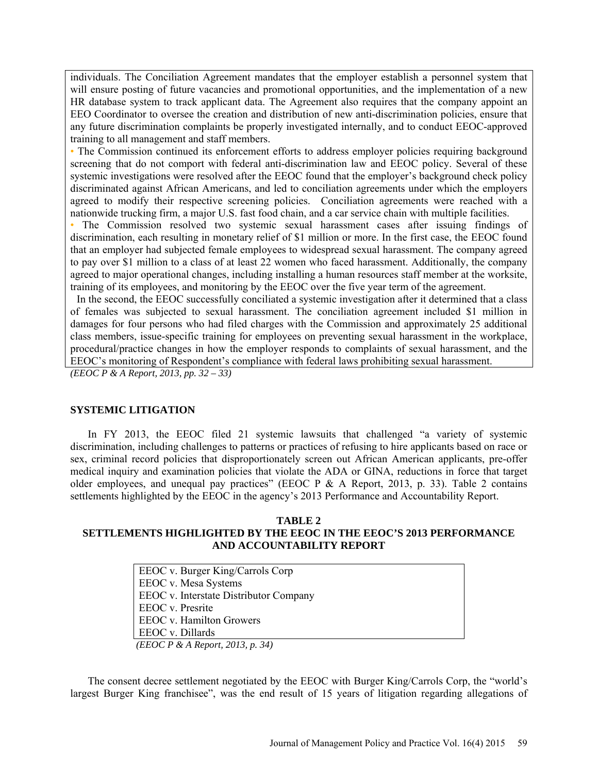individuals. The Conciliation Agreement mandates that the employer establish a personnel system that will ensure posting of future vacancies and promotional opportunities, and the implementation of a new HR database system to track applicant data. The Agreement also requires that the company appoint an EEO Coordinator to oversee the creation and distribution of new anti-discrimination policies, ensure that any future discrimination complaints be properly investigated internally, and to conduct EEOC-approved training to all management and staff members.

• The Commission continued its enforcement efforts to address employer policies requiring background screening that do not comport with federal anti-discrimination law and EEOC policy. Several of these systemic investigations were resolved after the EEOC found that the employer's background check policy discriminated against African Americans, and led to conciliation agreements under which the employers agreed to modify their respective screening policies. Conciliation agreements were reached with a nationwide trucking firm, a major U.S. fast food chain, and a car service chain with multiple facilities.

• The Commission resolved two systemic sexual harassment cases after issuing findings of discrimination, each resulting in monetary relief of \$1 million or more. In the first case, the EEOC found that an employer had subjected female employees to widespread sexual harassment. The company agreed to pay over \$1 million to a class of at least 22 women who faced harassment. Additionally, the company agreed to major operational changes, including installing a human resources staff member at the worksite, training of its employees, and monitoring by the EEOC over the five year term of the agreement.

In the second, the EEOC successfully conciliated a systemic investigation after it determined that a class of females was subjected to sexual harassment. The conciliation agreement included \$1 million in damages for four persons who had filed charges with the Commission and approximately 25 additional class members, issue-specific training for employees on preventing sexual harassment in the workplace, procedural/practice changes in how the employer responds to complaints of sexual harassment, and the EEOC's monitoring of Respondent's compliance with federal laws prohibiting sexual harassment.

*(EEOC P & A Report, 2013, pp. 32 – 33)*

# **SYSTEMIC LITIGATION**

In FY 2013, the EEOC filed 21 systemic lawsuits that challenged "a variety of systemic discrimination, including challenges to patterns or practices of refusing to hire applicants based on race or sex, criminal record policies that disproportionately screen out African American applicants, pre-offer medical inquiry and examination policies that violate the ADA or GINA, reductions in force that target older employees, and unequal pay practices" (EEOC P  $&$  A Report, 2013, p. 33). Table 2 contains settlements highlighted by the EEOC in the agency's 2013 Performance and Accountability Report.

# **TABLE 2 SETTLEMENTS HIGHLIGHTED BY THE EEOC IN THE EEOC'S 2013 PERFORMANCE AND ACCOUNTABILITY REPORT**

EEOC v. Burger King/Carrols Corp EEOC v. Mesa Systems EEOC v. Interstate Distributor Company EEOC v. Presrite EEOC v. Hamilton Growers EEOC v. Dillards *(EEOC P & A Report, 2013, p. 34)*

The consent decree settlement negotiated by the EEOC with Burger King/Carrols Corp, the "world's largest Burger King franchisee", was the end result of 15 years of litigation regarding allegations of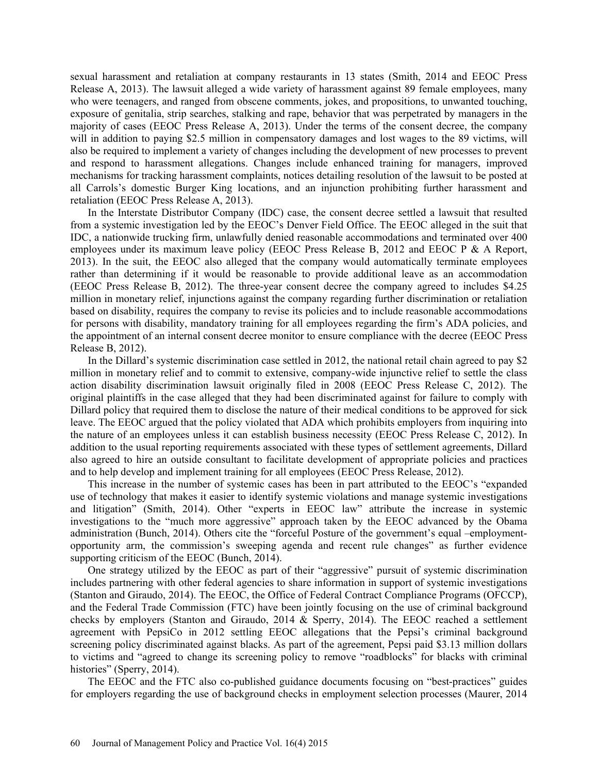sexual harassment and retaliation at company restaurants in 13 states (Smith, 2014 and EEOC Press Release A, 2013). The lawsuit alleged a wide variety of harassment against 89 female employees, many who were teenagers, and ranged from obscene comments, jokes, and propositions, to unwanted touching, exposure of genitalia, strip searches, stalking and rape, behavior that was perpetrated by managers in the majority of cases (EEOC Press Release A, 2013). Under the terms of the consent decree, the company will in addition to paying \$2.5 million in compensatory damages and lost wages to the 89 victims, will also be required to implement a variety of changes including the development of new processes to prevent and respond to harassment allegations. Changes include enhanced training for managers, improved mechanisms for tracking harassment complaints, notices detailing resolution of the lawsuit to be posted at all Carrols's domestic Burger King locations, and an injunction prohibiting further harassment and retaliation (EEOC Press Release A, 2013).

In the Interstate Distributor Company (IDC) case, the consent decree settled a lawsuit that resulted from a systemic investigation led by the EEOC's Denver Field Office. The EEOC alleged in the suit that IDC, a nationwide trucking firm, unlawfully denied reasonable accommodations and terminated over 400 employees under its maximum leave policy (EEOC Press Release B, 2012 and EEOC P & A Report, 2013). In the suit, the EEOC also alleged that the company would automatically terminate employees rather than determining if it would be reasonable to provide additional leave as an accommodation (EEOC Press Release B, 2012). The three-year consent decree the company agreed to includes \$4.25 million in monetary relief, injunctions against the company regarding further discrimination or retaliation based on disability, requires the company to revise its policies and to include reasonable accommodations for persons with disability, mandatory training for all employees regarding the firm's ADA policies, and the appointment of an internal consent decree monitor to ensure compliance with the decree (EEOC Press Release B, 2012).

In the Dillard's systemic discrimination case settled in 2012, the national retail chain agreed to pay \$2 million in monetary relief and to commit to extensive, company-wide injunctive relief to settle the class action disability discrimination lawsuit originally filed in 2008 (EEOC Press Release C, 2012). The original plaintiffs in the case alleged that they had been discriminated against for failure to comply with Dillard policy that required them to disclose the nature of their medical conditions to be approved for sick leave. The EEOC argued that the policy violated that ADA which prohibits employers from inquiring into the nature of an employees unless it can establish business necessity (EEOC Press Release C, 2012). In addition to the usual reporting requirements associated with these types of settlement agreements, Dillard also agreed to hire an outside consultant to facilitate development of appropriate policies and practices and to help develop and implement training for all employees (EEOC Press Release, 2012).

This increase in the number of systemic cases has been in part attributed to the EEOC's "expanded use of technology that makes it easier to identify systemic violations and manage systemic investigations and litigation" (Smith, 2014). Other "experts in EEOC law" attribute the increase in systemic investigations to the "much more aggressive" approach taken by the EEOC advanced by the Obama administration (Bunch, 2014). Others cite the "forceful Posture of the government's equal –employmentopportunity arm, the commission's sweeping agenda and recent rule changes" as further evidence supporting criticism of the EEOC (Bunch, 2014).

One strategy utilized by the EEOC as part of their "aggressive" pursuit of systemic discrimination includes partnering with other federal agencies to share information in support of systemic investigations (Stanton and Giraudo, 2014). The EEOC, the Office of Federal Contract Compliance Programs (OFCCP), and the Federal Trade Commission (FTC) have been jointly focusing on the use of criminal background checks by employers (Stanton and Giraudo, 2014  $\&$  Sperry, 2014). The EEOC reached a settlement agreement with PepsiCo in 2012 settling EEOC allegations that the Pepsi's criminal background screening policy discriminated against blacks. As part of the agreement, Pepsi paid \$3.13 million dollars to victims and "agreed to change its screening policy to remove "roadblocks" for blacks with criminal histories" (Sperry, 2014).

The EEOC and the FTC also co-published guidance documents focusing on "best-practices" guides for employers regarding the use of background checks in employment selection processes (Maurer, 2014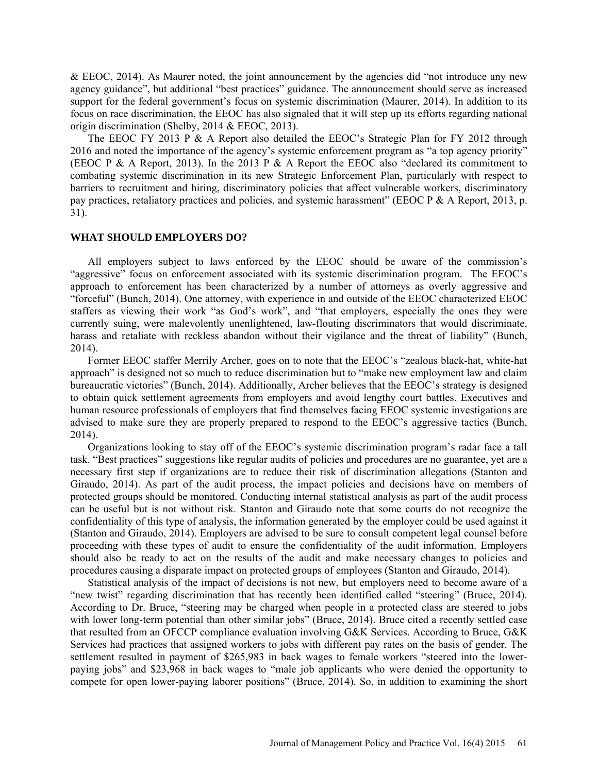& EEOC, 2014). As Maurer noted, the joint announcement by the agencies did "not introduce any new agency guidance", but additional "best practices" guidance. The announcement should serve as increased support for the federal government's focus on systemic discrimination (Maurer, 2014). In addition to its focus on race discrimination, the EEOC has also signaled that it will step up its efforts regarding national origin discrimination (Shelby, 2014 & EEOC, 2013).

The EEOC FY 2013 P & A Report also detailed the EEOC's Strategic Plan for FY 2012 through 2016 and noted the importance of the agency's systemic enforcement program as "a top agency priority" (EEOC P & A Report, 2013). In the 2013 P & A Report the EEOC also "declared its commitment to combating systemic discrimination in its new Strategic Enforcement Plan, particularly with respect to barriers to recruitment and hiring, discriminatory policies that affect vulnerable workers, discriminatory pay practices, retaliatory practices and policies, and systemic harassment" (EEOC P & A Report, 2013, p. 31).

#### **WHAT SHOULD EMPLOYERS DO?**

All employers subject to laws enforced by the EEOC should be aware of the commission's "aggressive" focus on enforcement associated with its systemic discrimination program. The EEOC's approach to enforcement has been characterized by a number of attorneys as overly aggressive and "forceful" (Bunch, 2014). One attorney, with experience in and outside of the EEOC characterized EEOC staffers as viewing their work "as God's work", and "that employers, especially the ones they were currently suing, were malevolently unenlightened, law-flouting discriminators that would discriminate, harass and retaliate with reckless abandon without their vigilance and the threat of liability" (Bunch, 2014).

Former EEOC staffer Merrily Archer, goes on to note that the EEOC's "zealous black-hat, white-hat approach" is designed not so much to reduce discrimination but to "make new employment law and claim bureaucratic victories" (Bunch, 2014). Additionally, Archer believes that the EEOC's strategy is designed to obtain quick settlement agreements from employers and avoid lengthy court battles. Executives and human resource professionals of employers that find themselves facing EEOC systemic investigations are advised to make sure they are properly prepared to respond to the EEOC's aggressive tactics (Bunch, 2014).

Organizations looking to stay off of the EEOC's systemic discrimination program's radar face a tall task. "Best practices" suggestions like regular audits of policies and procedures are no guarantee, yet are a necessary first step if organizations are to reduce their risk of discrimination allegations (Stanton and Giraudo, 2014). As part of the audit process, the impact policies and decisions have on members of protected groups should be monitored. Conducting internal statistical analysis as part of the audit process can be useful but is not without risk. Stanton and Giraudo note that some courts do not recognize the confidentiality of this type of analysis, the information generated by the employer could be used against it (Stanton and Giraudo, 2014). Employers are advised to be sure to consult competent legal counsel before proceeding with these types of audit to ensure the confidentiality of the audit information. Employers should also be ready to act on the results of the audit and make necessary changes to policies and procedures causing a disparate impact on protected groups of employees (Stanton and Giraudo, 2014).

Statistical analysis of the impact of decisions is not new, but employers need to become aware of a "new twist" regarding discrimination that has recently been identified called "steering" (Bruce, 2014). According to Dr. Bruce, "steering may be charged when people in a protected class are steered to jobs with lower long-term potential than other similar jobs" (Bruce, 2014). Bruce cited a recently settled case that resulted from an OFCCP compliance evaluation involving G&K Services. According to Bruce, G&K Services had practices that assigned workers to jobs with different pay rates on the basis of gender. The settlement resulted in payment of \$265,983 in back wages to female workers "steered into the lowerpaying jobs" and \$23,968 in back wages to "male job applicants who were denied the opportunity to compete for open lower-paying laborer positions" (Bruce, 2014). So, in addition to examining the short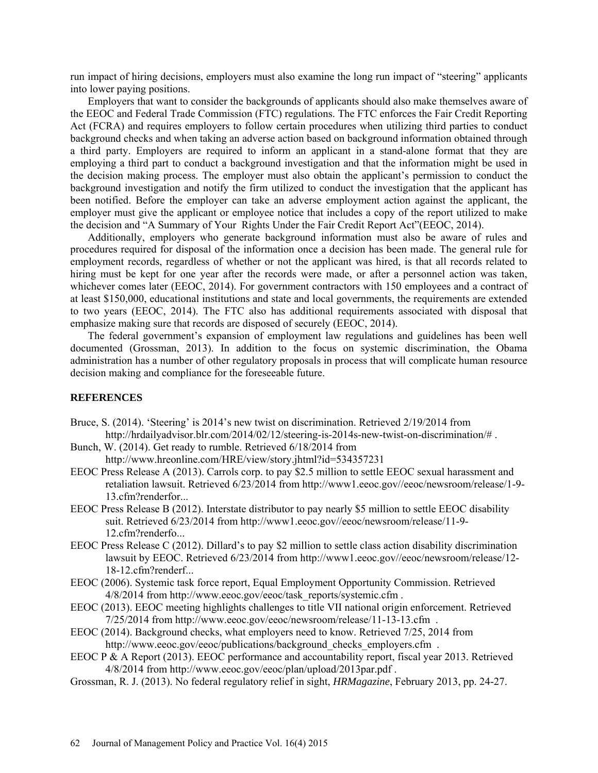run impact of hiring decisions, employers must also examine the long run impact of "steering" applicants into lower paying positions.

Employers that want to consider the backgrounds of applicants should also make themselves aware of the EEOC and Federal Trade Commission (FTC) regulations. The FTC enforces the Fair Credit Reporting Act (FCRA) and requires employers to follow certain procedures when utilizing third parties to conduct background checks and when taking an adverse action based on background information obtained through a third party. Employers are required to inform an applicant in a stand-alone format that they are employing a third part to conduct a background investigation and that the information might be used in the decision making process. The employer must also obtain the applicant's permission to conduct the background investigation and notify the firm utilized to conduct the investigation that the applicant has been notified. Before the employer can take an adverse employment action against the applicant, the employer must give the applicant or employee notice that includes a copy of the report utilized to make the decision and "A Summary of Your Rights Under the Fair Credit Report Act"(EEOC, 2014).

Additionally, employers who generate background information must also be aware of rules and procedures required for disposal of the information once a decision has been made. The general rule for employment records, regardless of whether or not the applicant was hired, is that all records related to hiring must be kept for one year after the records were made, or after a personnel action was taken, whichever comes later (EEOC, 2014). For government contractors with 150 employees and a contract of at least \$150,000, educational institutions and state and local governments, the requirements are extended to two years (EEOC, 2014). The FTC also has additional requirements associated with disposal that emphasize making sure that records are disposed of securely (EEOC, 2014).

The federal government's expansion of employment law regulations and guidelines has been well documented (Grossman, 2013). In addition to the focus on systemic discrimination, the Obama administration has a number of other regulatory proposals in process that will complicate human resource decision making and compliance for the foreseeable future.

# **REFERENCES**

- Bruce, S. (2014). 'Steering' is 2014's new twist on discrimination. Retrieved 2/19/2014 from [http://hrdailyadvisor.blr.com/2014/02/12/steering-is-2014s-new-twist-on-discrimination/#](http://hrdailyadvisor.blr.com/2014/02/12/steering-is-2014s-new-twist-on-discrimination/) .
- Bunch, W. (2014). Get ready to rumble. Retrieved 6/18/2014 from <http://www.hreonline.com/HRE/view/story.jhtml?id=534357231>
- EEOC Press Release A (2013). Carrols corp. to pay \$2.5 million to settle EEOC sexual harassment and retaliation lawsuit. Retrieved 6/23/2014 from [http://www1.eeoc.gov//eeoc/newsroom/release/1-9-](http://www1.eeoc.gov/eeoc/newsroom/release/1-9-13.cfm?renderfor) [13.cfm?renderfor.](http://www1.eeoc.gov/eeoc/newsroom/release/1-9-13.cfm?renderfor)..
- EEOC Press Release B (2012). Interstate distributor to pay nearly \$5 million to settle EEOC disability suit. Retrieved 6/23/2014 from [http://www1.eeoc.gov//eeoc/newsroom/release/11-9-](http://www1.eeoc.gov/eeoc/newsroom/release/11-9-12.cfm?renderfo) [12.cfm?renderfo.](http://www1.eeoc.gov/eeoc/newsroom/release/11-9-12.cfm?renderfo)..
- EEOC Press Release C (2012). Dillard's to pay \$2 million to settle class action disability discrimination lawsuit by EEOC. Retrieved 6/23/2014 from [http://www1.eeoc.gov//eeoc/newsroom/release/12-](http://www1.eeoc.gov/eeoc/newsroom/release/12-18-12.cfm?renderf) [18-12.cfm?renderf.](http://www1.eeoc.gov/eeoc/newsroom/release/12-18-12.cfm?renderf)..
- EEOC (2006). Systemic task force report, Equal Employment Opportunity Commission. Retrieved 4/8/2014 from [http://www.eeoc.gov/eeoc/task\\_reports/systemic.cfm](http://www.eeoc.gov/eeoc/task_reports/systemic.cfm) .
- EEOC (2013). EEOC meeting highlights challenges to title VII national origin enforcement. Retrieved 7/25/2014 from<http://www.eeoc.gov/eeoc/newsroom/release/11-13-13.cfm>.
- EEOC (2014). Background checks, what employers need to know. Retrieved 7/25, 2014 from [http://www.eeoc.gov/eeoc/publications/background\\_checks\\_employers.cfm](http://www.eeoc.gov/eeoc/publications/background_checks_employers.cfm) .
- EEOC P & A Report (2013). EEOC performance and accountability report, fiscal year 2013. Retrieved 4/8/2014 from<http://www.eeoc.gov/eeoc/plan/upload/2013par.pdf>.
- Grossman, R. J. (2013). No federal regulatory relief in sight, *HRMagazine*, February 2013, pp. 24-27.